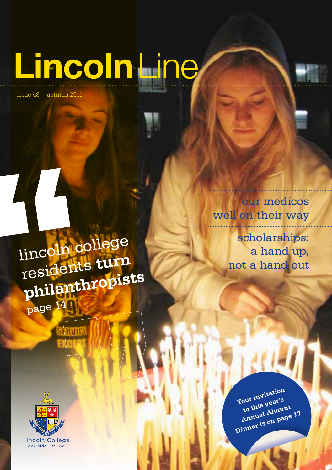# **Lincoln**Line

issue 48 | autumn 2011

our medicos well on their way

lincoln college residents **turn philanthropists** page <sup>14</sup>

scholarships: a hand up, not a hand out



**Your invitation to this year's Annual Alumni Dinner is on page 17**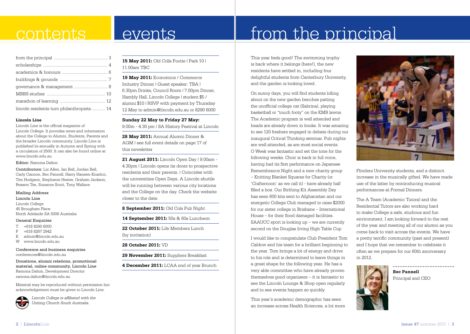### contents

### events

#### from the principal ............................................. 3 scholarships ...................................................... 4 academics & honours ...................................... 6 buildings & grounds ........................................ 7 governance & management ............................ 8 MBBS studies ................................................. 10 marathon of learning ...................................... 12 lincoln residents turn philanthropists ........... 14

#### **Lincoln Line**

Lincoln Line is the official magazine of Lincoln College. It provides news and information about the College to Alumni, Students, Parents and the broader Lincoln community. Lincoln Line is published bi-annually in Autumn and Spring with a circulation of 2500. It can also be found online at www.lincoln.edu.au

#### Editor: Ramona Dalton

Contributors: Liz Allen, Ian Bell, Jordan Bell, Carly Cannon, Bec Pannell, Harry Hansen-Knarhoi, Tim Hodgson, Stephanie Hester, Graham Jackson, Rexson Tse, Suzanne Scott, Tony Wallace

#### Mailing Address

Lincoln Line Lincoln College 45 Brougham Place North Adelaide SA 5006 Australia

#### General Enquiries

- T +618 8290 6000
- F +618 8267 2942
- E admin@lincoln.edu.au
- W www.lincoln.edu.au

#### Conference and business enquiries conferences@lincoln.edu.au

Donations, alumni relations, promotional material, online community, Lincoln Line Ramona Dalton, Development Director ramona.dalton@lincoln.edu.au

Material may be reproduced without permission but acknowledgement must be given to Lincoln Line.



*Lincoln College is affiliated with the Uniting Church South Australia.*

**15 May 2011:** Old Colls Footie | Park 10 | 11.00am TBC

**19 May 2011:** Economics / Commerce Industry Dinner | Guest speaker: TBA | 6.30pm Drinks, Council Room | 7.00pm Dinner, Hambly Hall, Lincoln College | student \$5 / alumni \$10 | RSVP with payment by Thursday 12 May to admin@lincoln.edu.au or 8290 6000

**Sunday 22 May to Friday 27 May:** 9.00m - 4.30 pm | SA History Festival at Lincoln

**28 May 2011:** Annual Alumni Dinner & AGM | see full event details on page 17 of this newsletter

**21 August 2011:** Lincoln Open Day | 9.00am - 4.30pm | Lincoln opens its doors to prospective residents and their parents. | Coincides with the universities Open Days. A Lincoln shuttle will be running between various city locations and the College on the day. Check the website closer to the date.

**8 September 2011:** Old Cols Pub Night

**14 September 2011:** 50s & 60s Luncheon

**22 October 2011:** Life Members Lunch (by invitation)

**28 October 2011:** VD

**29 November 2011:** Suppliers Breakfast

#### **4 December 2011:** LCAA end of year Brunch

This year feels good! The swimming trophy is back where it belongs (here!), the new residents have settled in, including four delightful students from Canterbury University, and the garden is looking loved.

from the principal

On sunny days, you will find students lolling about on the new garden benches patting the unofficial college cat (Sabrina), playing basketball or "touch footy" on the KMB lawns. The Academic program is well attended and heads are already down in books. It was amazing to see 120 freshers engaged in debate during our inaugural Critical Thinking seminar. Pub nights are well attended, as are most social events. O Week was fantastic and set the tone for the following weeks. Choir is back in full voice, having had its first performance on Japanese Remembrance Night and a new charity group – Knitting Blanket Squares for Charity (or 'Crafternoon' as we call it) - have already half filled a box. Our Birthing Kit Assembly Day has seen 600 kits sent to Afghanistan and our energetic College Club managed to raise \$2000 for our sister college in Brisbane – International House – for their flood damaged facilities.

SAAUCC sport is looking up – we are currently second on the Douglas Irving High Table Cup

I would like to congratulate Club President Tom Caldow and his team for a brilliant beginning to the year. Tom brings a lot of energy and drive to his role and is determined to leave things in a great shape for the following year. He has a very able committee who have already proven themselves good organisers – it is fantastic to see the Lincoln Lounge & Shop open regularly and to see events happen so quickly.

This year's academic demographic has seen an increase across Health Sciences, a lot more



Flinders University students, and a distinct increase in the musically gifted. We have made use of the latter by reintroducing musical performances at Formal Dinners.

The A Team (Academic Tutors) and the Residential Tutors are also working hard to make College a safe, studious and fun environment. I am looking forward to the rest of the year and meeting all of our alumni as you come back to visit across the events. We have a pretty terrific community (past and present) and I hope that we remember to celebrate it often as we prepare for our 60th anniversary in 2012.



**Bec Pannell** Principal and CEO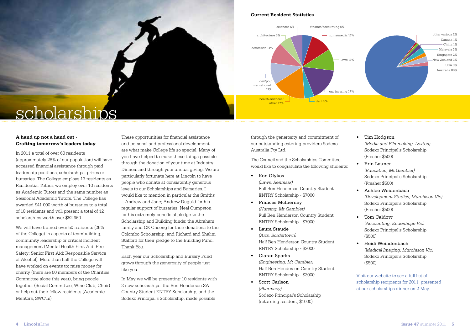#### **Current Resident Statistics**



### scholarships

#### **A hand up not a hand out - Crafting tomorrow's leaders today**

In 2011 a total of over 60 residents (approximately 28% of our population) will have accessed financial assistance through paid leadership positions, scholarships, prizes or bursaries. The College employs 13 residents as Residential Tutors, we employ over 10 residents as Academic Tutors and the same number as Sessional Academic Tutors. The College has awarded \$41 000 worth of bursaries to a total of 18 residents and will present a total of 12 scholarships worth over \$52 960.

We will have trained over 50 residents (25% of the College) in aspects of teambuilding, community leadership or critical incident management (Mental Health First Aid; Fire Safety; Senior First Aid; Responsible Service of Alcohol). More than half the College will have worked on events to: raise money for charity (there are 50 members of the Charities Committee alone this year), bring people together (Social Committee, Wine Club, Choir) or help out their fellow residents (Academic Mentors, SWOTs).

These opportunities for financial assistance and personal and professional development are what make College life so special. Many of you have helped to make these things possible through the donation of your time at Industry Dinners and through your annual giving. We are particularly fortunate here at Lincoln to have people who donate at consistently generous levels to our Scholarships and Bursaries. I would like to mention in particular the Smiths – Andrew and Jane; Andrew Duguid for his regular support of bursaries; Neal Cumpston for his extremely beneficial pledge to the Scholarship and Building funds; the Abraham family and CK Cheong for their donations to the Colombo Scholarship; and Richard and Shalini Stafford for their pledge to the Building Fund. Thank You.

Each year our Scholarship and Bursary Fund grows through the generosity of people just like you.

In May we will be presenting 10 residents with 2 new scholarships: the Ben Henderson SA Country Student ENTRY Scholarship, and the Sodexo Principal's Scholarship, made possible

through the generosity and commitment of our outstanding catering providers Sodexo Australia Pty Ltd.

The Council and the Scholarships Committee would like to congratulate the following students:

- • Kon Glykos *(Laws, Renmark)*  Full Ben Henderson Country Student ENTRY Scholarship - \$7000
- • Frances McInerney *(Nursing, Mt Gambier)* Full Ben Henderson Country Student ENTRY Scholarship - \$7000
- • Laura Staude *(Arts, Bordertown)* Half Ben Henderson Country Student ENTRY Scholarship - \$3000
- • Ciaran Sparks *(Engineering, Mt Gambier)* Half Ben Henderson Country Student ENTRY Scholarship - \$3000
- • Scott Carlson *(Pharmacy)*  Sodexo Principal's Scholarship (returning resident, \$1000)
- • Tim Hodgson *(Media and Filmmaking, Loxton)* Sodexo Principal's Scholarship (Fresher \$500)
- • Erin Launer *(Education, Mt Gambier)* Sodexo Principal's Scholarship (Fresher \$500)
- • Ashlee Weidenbach *(Development Studies, Murchison Vic)* Sodexo Principal's Scholarship (Fresher \$500)
- • Tom Caldow *(Accounting, Endenhope Vic)* Sodexo Principal's Scholarship (\$500)
- • Heidi Weindenbach *(Medical Imaging, Murchison Vic)* Sodexo Principal's Scholarship (\$500)

Visit our website to see a full list of scholarship recipients for 2011, presented at our scholarships dinner on 2 May.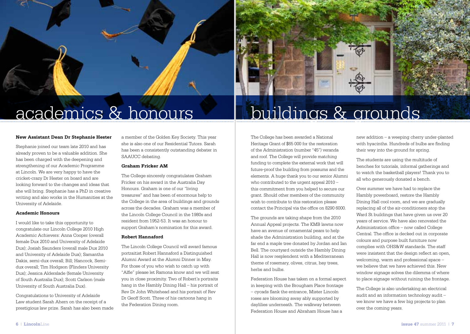



#### **New Assistant Dean Dr Stephanie Hester**

Stephanie joined our team late 2010 and has already proven to be a valuable addition. She has been charged with the deepening and strengthening of our Academic Programme at Lincoln. We are very happy to have the cricket-crazy Dr Hester on board and are looking forward to the changes and ideas that she will bring. Stephanie has a PhD in creative writing and also works in the Humanities at the University of Adelaide.

#### **Academic Honours**

I would like to take this opportunity to congratulate our Lincoln College 2010 High Academic Achievers: Anna Cooper (overall female Dux 2010 and University of Adelaide Dux); Josiah Saunders (overall male Dux 2010 and University of Adelaide Dux); Samantha Dakis, semi-dux overall; Bill; Hancock, Semidux overall; Tim Hodgson (Flinders University Dux); Jessica Alderslade (female University of South Australia Dux); Scott Carlson (male University of South Australia Dux).

Congratulations to University of Adelaide Law student Sarah Ahern on the receipt of a prestigious law prize. Sarah has also been made a member of the Golden Key Society. This year she is also one of our Residential Tutors. Sarah has been a consistently outstanding debater in SAAUCC debating.

#### **Graham Fricker AM**

The College sincerely congratulates Graham Fricker on his award in the Australia Day Honours. Graham is one of our "living treasures" and has been of enormous help to the College in the area of buildings and grounds across the decades. Graham was a member of the Lincoln College Council in the 1980s and resident from 1952-53. It was an honour to support Graham's nomination for this award.

#### **Robert Hannaford**

The Lincoln College Council will award famous portraitist Robert Hannaford a Distinguished Alumni Award at the Alumni Dinner in May. For those of you who wish to catch up with "Alfie" please let Ramona know and we will seat you in close proximity. Two of Robert's portraits hang in the Hambly Dining Hall – his portrait of Rev Dr John Whitehead and his portrait of Rev Dr Geoff Scott. Three of his cartoons hang in the Federation Dining room.

academics & honours II buildings & grounds

The College has been awarded a National Heritage Grant of \$65 000 for the restoration of the Administration (number "45") veranda and roof. The College will provide matching funding to complete the external work that will future-proof the building from possums and the elements. A huge thank you to our senior Alumni who contributed to the urgent appeal 2010 – this commitment from you helped to secure our grant. Should other members of the community wish to contribute to this restoration please contact the Principal via the office on 8290 6000.

The grounds are taking shape from the 2010 Annual Appeal projects. The KMB lawns now have an avenue of ornamental pears to help shade the Administration building, and at the far end a maple tree donated by Jordan and Ian Bell. The courtyard outside the Hambly Dining Hall is now resplendent with a Mediterranean theme of rosemary, olives, citrus, bay trees, herbs and bulbs.

Federation House has taken on a formal aspect in keeping with the Brougham Place frontage – cycads flank the entrance, Mister Lincoln roses are blooming away ably supported by daylilies underneath. The walkway between Federation House and Abraham House has a

new addition – a weeping cherry under-planted with hyacinths. Hundreds of bulbs are finding their way into the ground for spring.

The students are using the multitude of benches for tutorials, informal gatherings and to watch the basketball players! Thank you to all who generously donated a bench.

Over summer we have had to replace the Hambly powerboard, restore the Hambly Dining Hall cool room, and we are gradually replacing all of the air-conditioners atop the Ward St buildings that have given us over 20 years of service. We have also renovated the Administration office – now called College Central. The office is decked out in corporate colours and purpose built furniture now complies with OHS&W standards. The staff were insistent that the design reflect an open, welcoming, warm and professional space – we believe that we have achieved this. New window signage solves the dilemma of where to place signage without ruining the frontage.

The College is also undertaking an electrical audit and an information technology audit – we know we have a few big projects to plan over the coming years.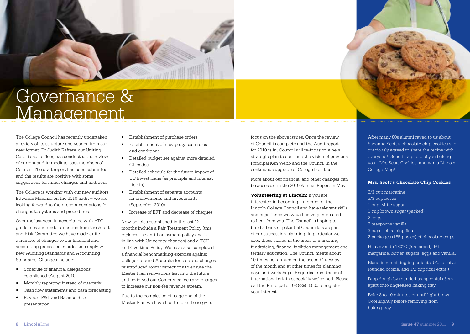

### Governance & **Management**

The College Council has recently undertaken a review of its structure one year on from our new format. Dr Judith Raftery, our Uniting Care liaison officer, has conducted the review of current and immediate-past members of Council. The draft report has been submitted and the results are positive with some suggestions for minor changes and additions.

The College is working with our new auditors Edwards Marshall on the 2010 audit – we are looking forward to their recommendations for changes to systems and procedures.

Over the last year, in accordance with ATO guidelines and under direction from the Audit and Risk Committee we have made quite a number of changes to our financial and accounting processes in order to comply with new Auditing Standards and Accounting Standards. Changes include:

- • Schedule of financial delegations established (August 2010)
- Monthly reporting instead of quarterly
- Cash flow statements and cash forecasting
- Revised P&L and Balance Sheet presentation
- Establishment of purchase orders
- • Establishment of new petty cash rules and conditions
- • Detailed budget set against more detailed GL codes
- • Detailed schedule for the future impact of UC Invest loans (as principle and interest kick in)
- • Establishment of separate accounts for endowments and investments (September 2010)
- • Increase of EFT and decrease of cheques

New policies established in the last 12 months include a Fair Treatment Policy (this replaces the anti-harassment policy and is in line with University changes) and a TOIL and Overtime Policy. We have also completed a financial benchmarking exercise against Colleges around Australia for fees and charges, reintroduced room inspections to ensure the Master Plan renovations last into the future, and reviewed our Conference fees and charges to increase our non-fee revenue stream.

Due to the completion of stage one of the Master Plan we have had time and energy to focus on the above issues. Once the review of Council is complete and the Audit report for 2010 is in, Council will re-focus on a new strategic plan to continue the vision of previous Principal Ken Webb and the Council in the continuous upgrade of College facilities.

More about our financial and other changes can be accessed in the 2010 Annual Report in May.

**Volunteering at Lincoln:** If you are interested in becoming a member of the Lincoln College Council and have relevant skills and experience we would be very interested to hear from you. The Council is hoping to build a bank of potential Councillors as part of our succession planning. In particular we seek those skilled in the areas of marketing, fundraising, finance, facilities management and tertiary education. The Council meets about 10 times per annum on the second Tuesday of the month and at other times for planning days and workshops. Enquiries from those of international origin especially welcomed. Please call the Principal on 08 8290 6000 to register your interest.

After many 80s alumni raved to us about Suzanne Scott's chocolate chip cookies she graciously agreed to share the recipe with everyone! Send in a photo of you baking your 'Mrs.Scott Cookies' and win a Lincoln College Mug!

#### **Mrs. Scott's Chocolate Chip Cookies**

2/3 cup margarine 2/3 cup butter 1 cup white sugar 1 cup brown sugar (packed) 2 eggs 2 teaspoons vanilla 3 cups self raising flour 2 packages (185gms ea) of chocolate chips

Heat oven to 180°C (fan forced). Mix margarine, butter, sugars, eggs and vanilla.

Blend in remaining ingredients. (For a softer, rounded cookie, add 1/2 cup flour extra.)

Drop dough by rounded teaspoonfuls 5cm apart onto ungreased baking tray.

Bake 8 to 10 minutes or until light brown. Cool slightly before removing from baking tray.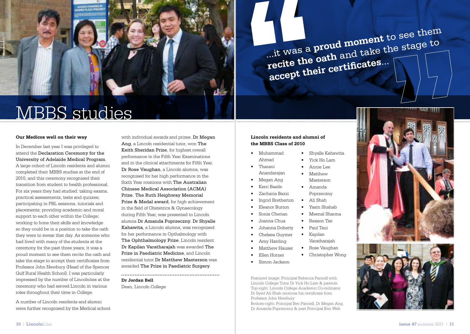

MBBS studies

#### **Our Medicos well on their way**

In December last year I was privileged to attend the Declaration Ceremony for the University of Adelaide Medical Program. A large cohort of Lincoln residents and alumni completed their MBBS studies at the end of 2010, and this ceremony recognised their transition from student to health professional. For six years they had studied: taking exams, practical assessments, tests and quizzes; participating in PBL sessions, tutorials and placements; providing academic and moral support to each other within the College; working to hone their skills and knowledge so they could be in a position to take the oath they were to swear that day. As someone who had lived with many of the students at the ceremony for the past three years, it was a proud moment to see them recite the oath and take the stage to accept their certificates from Professor John Newbury (Head of the Spencer Gulf Rural Health School). I was particularly impressed by the number of Lincolnites at the ceremony who had served Lincoln in various roles throughout their time in College.

A number of Lincoln residents and alumni were further recognised by the Medical school

with individual awards and prizes. Dr Megan Ang, a Lincoln residential tutor, won The Keith Sheridan Prize, for highest overall performance in the Fifth Year Examinations and in the clinical attachments for Fifth Year. Dr Rose Vaughan, a Lincoln alumna, was recognised for her high performance in the Sixth Year rotations with The Australian Chinese Medical Association (ACMA) Prize. The Ruth Heighway Memorial Prize & Medal award, for high achievement in the field of Obstetrics & Gynaecology during Fifth Year, was presented to Lincoln alumna Dr Amanda Poprzeczny. Dr Shyalle Kahawita, a Lincoln alumna, was recognised for her performance in Opthalmology with The Ophthalmology Prize. Lincoln resident Dr Kapilan Varatharajah was awarded The Prize in Paediatric Medicine, and Lincoln residential tutor Dr Matthew Masterson was awarded The Prize in Paediatric Surgery. 

**Dr Jordan Bell** Dean, Lincoln College

#### **Lincoln residents and alumni of the MBBS Class of 2010**

- • Muhammad • Shyalle Kahawita
	- • Yick Ho Lam

• Annie Lee • Matthew Masterson • Amanda Poprzeczny • Ali Shah

...it was a **proud moment** to see them

**recite the oath** and take the stage to

**accept their certificates**...

- • Tharani Anandarajan
- • Megan Ang
- • Kerri Basile

Ahmad

- • Zacharia Bazzi
- Ingrid Bretherton
	- Eleanor Burton • Yasin Shahab
	- Sonia Cherian • Meenal Sharma
		- Rexson Tse

Varatharajah

• Christopher Wong

- • Johanna Doherty • Paul Tsui
- • Chelsea Guymer • Kapilan
- Amy Harding

• Joanna Chua

- Matthew Hauser • Rose Vaughan
- **Ellen Horner**
- Simon Jackson

Featured image: Principal Rebecca Pannell with Lincoln College Tutor Dr Yick Ho Lam & parents Top-right: Lincoln College Academic Co-ordinator Dr Syed Ali Shah receives his certificate from Professor John Newbury

Bottom-right: Principal Bec Pannell, Dr Megan Ang, Dr Amanda Poprzeczny & past Principal Ken Web



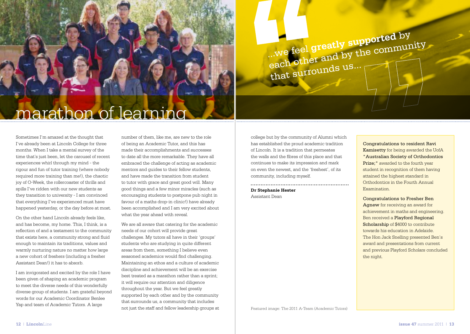## marathon of learning

Sometimes I'm amazed at the thought that I've already been at Lincoln College for three months. When I take a mental survey of the time that's just been, let the carousel of recent experiences whirl through my mind - the rigour and fun of tutor training (where nobody required more training than me!), the chaotic joy of O-Week, the rollercoaster of thrills and spills I've ridden with our new students as they transition to university - I am convinced that everything I've experienced must have happened yesterday, or the day before at most.

On the other hand Lincoln already feels like, and has become, my home. This, I think, is a reflection of and a testament to the community that exists here, a community strong and fluid enough to maintain its traditions, values and warmly nurturing nature no matter how large a new cohort of freshers (including a fresher Assistant Dean!) it has to absorb.

I am invigorated and excited by the role I have been given of shaping an academic program to meet the diverse needs of this wonderfully diverse group of students. I am grateful beyond words for our Academic Coordinator Benlee Yap and team of Academic Tutors. A large

number of them, like me, are new to the role of being an Academic Tutor, and this has made their accomplishments and successes to date all the more remarkable. They have all embraced the challenge of acting as academic mentors and guides to their fellow students, and have made the transition from student to tutor with grace and great good will. Many good things and a few minor miracles (such as encouraging students to postpone pub night in favour of a maths drop-in clinic!) have already been accomplished and I am very excited about what the year ahead with reveal.

We are all aware that catering for the academic needs of our cohort will provide great challenges. My tutors all have in their 'groups' students who are studying in quite different areas from them, something I believe even seasoned academics would find challenging. Maintaining an ethos and a culture of academic discipline and achievement will be an exercise best treated as a marathon rather than a sprint; it will require our attention and diligence throughout the year. But we feel greatly supported by each other and by the community that surrounds us, a community that includes not just the staff and fellow leadership groups at college but by the community of Alumni which has established the proud academic tradition of Lincoln. It is a tradition that permeates the walls and the fibres of this place and that continues to make its impression and mark on even the newest, and the 'freshest', of its community, including myself.

...we feel **greatly supported** by

that surrounds us...

each other and by the community

**Dr Stephanie Hester** Assistant Dean

#### Congratulations to resident Ravi Kamisetty for being awarded the UofA "Australian Society of Orthodontics Prize;" awarded to the fourth year student in recognition of them having attained the highest standard in Orthodontics in the Fourth Annual Examination.

Congratulations to Fresher Ben Agnew for receiving an award for achievement in maths and engineering. Ben received a Playford Regional Scholarship of \$4000 to contribute towards his education in Adelaide. The Hon Jack Snelling presented Ben's award and presentations from current and previous Playford Scholars concluded the night.

Featured image: The 2011 A-Team (Academic Tutors)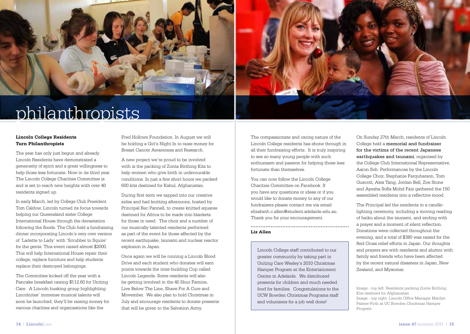



### philanthropists

#### **Lincoln College Residents Turn Philanthropists**

The year has only just begun and already Lincoln Residents have demonstrated a generosity of spirit and a great willingness to help those less fortunate. Now in its third year The Lincoln College Charities Committee is and is set to reach new heights with over 40 residents signed up.

In early March, led by College Club President Tom Caldow, Lincoln turned its focus towards helping our Queensland sister College International House through the devastation following the floods. The Club held a fundraising dinner incorporating Lincoln's very own version of 'Ladette to Lady' with 'Scrubber to Squire' for the gents. This event raised almost \$2000. This will help International House repair their college, replace furniture and help students replace their destroyed belongings.

The Committee kicked off the year with a Pancake breakfast raising \$112.60 for Uniting Care. A Lincoln busking group highlighting Lincolnites' immense musical talents will soon be launched; they'll be raising money for various charities and organisations like the

Fred Hollows Foundation. In August we will be holding a Girl's Night In to raise money for Breast Cancer Awareness and Research.

A new project we're proud to be involved with is the packing of Zonta Birthing Kits to help women who give birth in unfavourable conditions. In just a few short hours we packed 600 kits destined for Kabul, Afghanistan.

During first term we tapped into our creative sides and had knitting afternoons, hosted by Principal Bec Pannell, to create knitted squares destined for Africa to be made into blankets for those in need. The choir and a number of our musically talented residents performed as part of the event for those affected by the recent earthquake, tsunami and nuclear reactor explosion in Japan.

Once again we will be running a Lincoln Blood Drive and each student who donates will earn points towards the inter-building Cup called Lincoln Legends. Some residents will also be getting involved in the 40 Hour Famine, Live Below The Line, Shave For A Cure and Movember. We also plan to hold Christmas in July and encourage residents to donate presents that will be given to the Salvation Army.

The compassionate and caring nature of the Lincoln College residents has shone through in all their fundraising efforts. It is truly inspiring to see so many young people with such enthusiasm and passion for helping those less fortunate than themselves.

You can now follow the Lincoln College Charities Committee on Facebook. If you have any questions or ideas or if you would like to donate money to any of our fundraisers please contact me via email: elizabeth.c.allen@student.adelaide.edu.au. Thank you for your encouragement.

#### **Liz Allen**

Lincoln College staff contributed to our greater community by taking part in Uniting Care Wesley's 2010 Christmas Hamper Program at the Entertainment Centre in Adelaide. We distributed presents for children and much needed food for families. Congratulations to the UCW Bowden Christmas Programs staff and volunteers for a job well done!

On Sunday 27th March, residents of Lincoln College held a memorial and fundraiser for the victims of the recent Japanese earthquakes and tsunami, organised by the College Club International Representative, Aaron Soh. Performances by the Lincoln College Choir, Stephanie Farquharson, Tom Guscott, Alex Tang, Jordan Bell, Zoe Stone and Ayesha Sofia Mohd Faiz gathered the 150 assembled residents into a reflective mood.

The Principal led the residents in a candlelighting ceremony, including a moving reading of haiku about the tsunami, and ending with a prayer and a moment of silent reflection. Donations were collected throughout the evening, and a total of \$380 was raised for the Red Cross relief efforts in Japan. Our thoughts and prayers are with residents and alumni with family and friends who have been affected by the recent natural disasters in Japan, New Zealand, and Myanmar.

Image - top left: Residents packing Zonta Birthing Kits destined for Afghanistan Image - top right: Lincoln Office Manager Marilyn Palmer-Firth at UC Bowden Christmas Hamper Program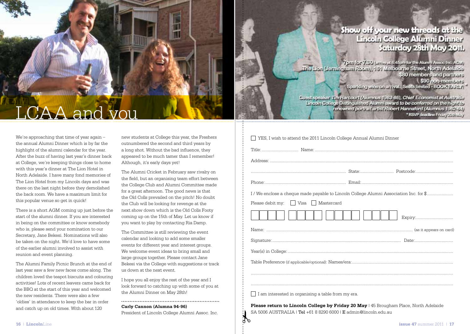#### Show off your new threads at the Lincoln College Alumni Dinner Saturday 28th May 2011.

7 p.m. for 7.30 (university 45pm for the Alumni Assoc Inc. ASM) The Lion (Jerningham Room), 151 Melbourne Street, North Adelaide \$80 members and partners \$90 non-mambers Sparkling wine on arrival. Seats limited - BOOK EARLY!

Suest speaker Tim Harcourt (Alumnus 1983-86), Chief Economist at Australia Lincoln College Distinguished Alumni award to be conferred on the night to renowned pertrait artist Robert Hannaford (Alumnus 1962-64) \*RSVP deadline Friday 20th May

## LCAA and you

We're approaching that time of year again – the annual Alumni Dinner which is by far the highlight of the alumni calendar for the year. After the buzz of having last year's dinner back at College, we're keeping things close to home with this year's dinner at The Lion Hotel in North Adelaide. I have many fond memories of The Lion Hotel from my Lincoln days and was there on the last night before they demolished the back room. We have a maximum limit for this popular venue so get in quick!

There is a short AGM coming up just before the start of the alumni dinner. If you are interested in being on the committee or know somebody who is, please send your nomination to our Secretary, Jane Bekesi. Nominations will also be taken on the night. We'd love to have some of the earlier alumni involved to assist with reunion and event planning.

The Alumni Family Picnic Brunch at the end of last year saw a few new faces come along. The children loved the teapot biscuits and colouring activities! Lots of recent leavers came back for the BBQ at the start of this year and welcomed the new residents. There were also a few 'oldies' in attendance to keep the bar in order and catch up on old times. With about 120

new students at College this year, the Freshers outnumbered the second and third years by a long shot. Without the bad influence, they appeared to be much tamer than I remember! Although, it's early days yet!

The Alumni Cricket in February saw rivalry on the field, but an organising team effort between the College Club and Alumni Committee made for a great afternoon. The good news is that the Old Colls prevailed on the pitch! No doubt the Club will be looking for revenge at the next show down which is the Old Colls Footy coming up on the 15th of May. Let us know if you want to play by contacting Ria Damp.

The Committee is still reviewing the event calendar and looking to add some smaller events for different year and interest groups. We welcome event ideas to bring small and large groups together. Please contact Jane Bekesi via the College with suggestions or track us down at the next event.

I hope you all enjoy the rest of the year and I look forward to catching up with some of you at the Alumni Dinner on May 28th!

**Carly Cannon (Alumna 94-96)**

President of Lincoln College Alumni Assoc. Inc.

| │ YES, I wish to attend the 2011 Lincoln College Annual Alumni Dinner                  |  |         |  |  |  |  |
|----------------------------------------------------------------------------------------|--|---------|--|--|--|--|
|                                                                                        |  |         |  |  |  |  |
|                                                                                        |  |         |  |  |  |  |
|                                                                                        |  |         |  |  |  |  |
|                                                                                        |  |         |  |  |  |  |
| I / We enclose a cheque made payable to Lincoln College Alumni Association Inc. for \$ |  |         |  |  |  |  |
| Please debit my: [   Visa   Mastercard                                                 |  |         |  |  |  |  |
|                                                                                        |  | Expiry: |  |  |  |  |
|                                                                                        |  |         |  |  |  |  |
|                                                                                        |  |         |  |  |  |  |
|                                                                                        |  |         |  |  |  |  |
|                                                                                        |  |         |  |  |  |  |
|                                                                                        |  |         |  |  |  |  |
|                                                                                        |  |         |  |  |  |  |
| $\Box$ I am interested in organising a table from my era.                              |  |         |  |  |  |  |

**Please return to Lincoln College by Friday 20 May** | 45 Brougham Place, North Adelaide SA 5006 AUSTRALIA | Tel +61 8 8290 6000 | E admin@lincoln.edu.au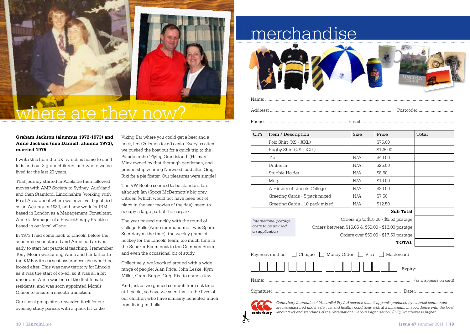

### e are they now?

#### **Graham Jackson (alumnus 1972-1973) and Anne Jackson (nee Daniell, alumna 1973), married 1975**

I write this from the UK, which is home to our 4 kids and our 3 grandchildren, and where we've lived for the last 20 years.

That journey started in Adelaide then followed moves with AMP Society to Sydney, Auckland and then Stamford, Lincolnshire (working with Pearl Assurance) where we now live. I qualified as an Actuary in 1983, and now work for IBM, based in London as a Management Consultant. Anne is Manager of a Physiotherapy Practice based in our local village.

In 1973 I had come back to Lincoln before the academic year started and Anne had arrived early to start her practical teaching. I remember Tony Moore welcoming Anne and her father to the KMB with earnest assurances she would be looked after. This was new territory for Lincoln as it was the start of co-ed, so it was all a bit uncertain. Anne was one of the first female residents, and was soon appointed Morals Officer to ensure a smooth transition.

Our social group often rewarded itself for our evening study periods with a quick flit to the

Viking Bar where you could get a beer and a hock, lime & lemon for 60 cents. Every so often we pushed the boat out for a quick trip to the Parade in the 'Flying Grandstand' (Hillman Minx owned by that thorough gentleman, and premiership winning Norwood footballer, Greg Rix) for a pie floater. Our pleasures were simple!

The VW Beetle seemed to be standard fare, although Ian (Spog) McDermott's big grey Citroen (which would not have been out of place in the war movies of the day), seem to occupy a large part of the carpark.

The year passed quickly with the round of College Balls (Anne reminded me I was Sports Secretary at the time), the weekly game of hockey for the Lincoln team, too much time in the Snooker Room next to the Common Room, and even the occasional bit of study.

Collectively, we knocked around with a wide range of people; Alan Price, John Leske, Kym Miller, Grant Burge, Greg Rix, to name a few.

And just as we gained so much from out time at Lincoln, so have we seen that in the lives of our children who have similarly benefited much from living in 'halls'.

### merchandise



#### Name: ..............................................................................................................................................................

Address: ........................................................................................................ Postcode:..............................

Phone:.................................................................... Email:.............................................................................

| ul: |  |  |  |  |  |  |  |
|-----|--|--|--|--|--|--|--|
|     |  |  |  |  |  |  |  |
|     |  |  |  |  |  |  |  |

| <b>QTY</b>                                                     | Item / Description     |                                                    | Size | Price                                 | Total |
|----------------------------------------------------------------|------------------------|----------------------------------------------------|------|---------------------------------------|-------|
|                                                                | Polo Shirt (XS - XXL)  |                                                    |      | \$75.00                               |       |
|                                                                | Rugby Shirt (XS - XXL) |                                                    |      | \$125.00                              |       |
|                                                                | Tie                    |                                                    | N/A  | \$40.00                               |       |
|                                                                | Umbrella               |                                                    | N/A  | \$25.00                               |       |
|                                                                | Stubbie Holder         |                                                    |      | \$8.50                                |       |
|                                                                | Mug                    |                                                    | N/A  | \$10.00                               |       |
|                                                                |                        | A History of Lincoln College                       | N/A  | \$20.00                               |       |
|                                                                |                        | Greeting Cards - 5 pack mixed                      | N/A  | \$7.50                                |       |
|                                                                |                        | Greeting Cards - 10 pack mixed                     | N/A  | \$12.50                               |       |
|                                                                |                        |                                                    |      | Sub Total                             |       |
| International postage<br>costs to be advised<br>on application |                        |                                                    |      | Orders up to \$15.00 - \$6.50 postage |       |
|                                                                |                        | Orders between \$15.05 & \$50.00 - \$12.00 postage |      |                                       |       |
|                                                                |                        |                                                    |      | Orders over \$50.00 - \$17.50 postage |       |
|                                                                |                        |                                                    |      | <b>TOTAL</b>                          |       |
| Payment method: □ Cheque □ Money Order □ Visa □<br>Mastercard  |                        |                                                    |      |                                       |       |
| Expiry:                                                        |                        |                                                    |      |                                       |       |
|                                                                |                        |                                                    |      |                                       |       |
|                                                                |                        |                                                    |      |                                       |       |



*Canterbury International (Australia) Pty Ltd ensures that all apparels produced by external contractors, are manufactured under safe, just and healthy conditions and, at a minimum, in accordance with the local labour laws and standards of the "International Labour Organization" (ILO), whichever is higher.*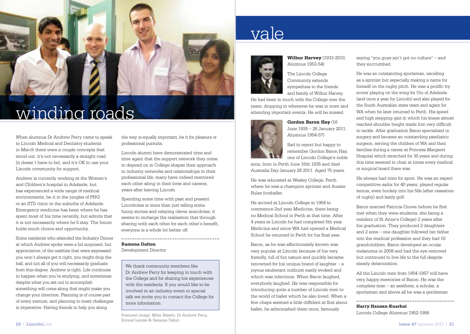

## winding roads

When alumnus Dr Andrew Perry came to speak to Lincoln Medical and Dentistry students in March there were a couple concepts that stood out: it's not necessarily a straight road (it doesn't have to be), and it's OK to use your Lincoln community for support.

Andrew is currently working at the Women's and Children's hospital in Adelaide, but has experienced a wide range of medical environments, be it in the jungles of PNG or an STD clinic in the suburbs of Adelaide. Emergency medicine has been where he has spent most of his time recently, but admits that it is not necessarily where he'll stay. The future holds much choice and opportunity.

Some residents who attended the Industry Dinner at which Andrew spoke were a bit surprised, but appreciative, of the realities that were expressed: you won't always get it right, you might drop the ball, and not all of you will necessarily graduate from this degree. Andrew is right. Life continues to happen when you're studying, and sometimes despite what you set out to accomplish something will come along that might make you change your direction. Planning is of course part of every venture, and planning to meet challenges is imperative. Having friends to help you along

the way is equally important, be it for pleasure or professional pursuits.

Lincoln alumni have demonstrated time and time again that the support network they come to depend on in College shapes their approach to industry networks and relationships in their professional life; many have indeed mentored each other along in their lives and careers, years after leaving Lincoln.

Spending some time with past and present Lincolnites is more than just telling some funny stories and relaying clever anecdotes; it seems to recharge the realisation that through sharing with each other for each other's benefit, everyone is a whole lot better off.

**Ramona Dalton** Development Director

We thank community members like Dr Andrew Perry for keeping in touch with the College and for sharing his experiences with the residents. If you would like to be involved in an industry event or special talk we invite you to contact the College for more information.

Featured image: Mihir Bakshi, Dr Andrew Perry, Konrad Lemke & Saranya Talluri

### vale



#### **Wilbur Harvey** (1933-2010; Alumnus 1953-54)

The Lincoln College Community extends sympathies to the friends and family of Wilbur Harvey.

He had been in touch with the College over the years, dropping in whenever he was in town and attending important events. He will be missed.



**Gordon Baron Hay** (16 June 1935 – 26 January 2011; Alumnus 1954-57)

Sad to report but happy to remember Gordon Baron Hay, one of Lincoln College's noble

sons, born in Perth June 16th 1935 and died Australia Day January 26 2011. Aged 75 years.

He was educated at Wesley College, Perth where he was a champion sprinter and Aussie Rules footballer.

He arrived at Lincoln College in 1954 to commence 2nd year Medicine, there being no Medical School in Perth at that time. After 4 years at Lincoln he had completed 5th year Medicine and since WA had opened a Medical School he returned to Perth for his final year.

Baron, as he was affectionately known was very popular at Lincoln because of his very friendly, full of fun nature and quickly became renowned for his unique brand of laughter  $-$  a joyous exuberant outburst easily evoked and which was infectious. When Baron laughed, everybody laughed. He was responsible for introducing quite a number of Lincoln men to the world of ballet which he also loved. When a few chaps seemed a little diffident at first about ballet, he admonished them once, famously

saying "you guys ain't got no culture" – and they succumbed.

He was an outstanding sportsman, excelling as a sprinter but especially making a name for himself on the rugby pitch. He was a prolific try scorer playing on the wing for Uni of Adelaide (and once a year for Lincoln) and also played for the South Australian state team and again for WA when he later returned to Perth. His speed and high stepping gait in which his knees almost reached shoulder height made him very difficult to tackle. After graduation Baron specialised in surgery and became an outstanding paediatric surgeon, serving the children of WA and their families during a career at Princess Margaret Hospital which stretched for 30 years and during this time seemed to chair at times every medical or surgical board there was.

He always had time for sport. He was an expert competitive sailor for 40 years, played regular tennis, even hockey into his 50s (after cessation of rugby) and lastly golf.

Baron married Patricia Crowe (whom he first met when they were students, she being a resident of St Anne's College) 2 years after his graduation. They produced 2 daughters and 2 sons – one daughter followed her father into the medical profession and they had 10 grandchildren. Baron developed an ocular melanoma in 2008 and had the eye removed but continued to live life to the full despite steady deterioration.

All the Lincoln men from 1954-1957 will have very happy memories of Baron. He was the complete man – an aesthete, a scholar, a sportsman and above all he was a gentleman.

#### **Harry Hansen-Knarhoi**

Lincoln College Alumnus 1952-1956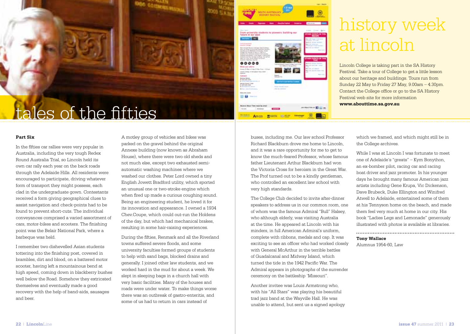

#### **Part Six**

In the fifties car rallies were very popular in Australia, including the very tough Redex Round Australia Trial, so Lincoln held its own car rally each year on the back roads through the Adelaide Hills. All residents were encouraged to participate, driving whatever form of transport they might possess, each clad in the undergraduate gown. Contestants received a form giving geographical clues to assist navigation and check-points had to be found to prevent short-cuts. The individual conveyances comprised a varied assortment of cars, motor-bikes and scooters. The finishing point was the Belair National Park, where a barbeque was held.

I remember two dishevelled Asian students tottering into the finishing post, covered in brambles, dirt and blood, on a battered motor scooter, having left a mountainous bend at high speed, coming down in blackberry bushes well below the Road. Somehow they extricated themselves and eventually made a good recovery with the help of band-aids, sausages and beer.

A motley group of vehicles and bikes was parked on the gravel behind the original Annexe building (now known as Abraham House), where there were two old sheds and not much else, except two exhausted semiautomatic washing machines where we washed our clothes. Peter Lord owned a tiny English Jowett Bradford utility, which sported an unusual one or two-stroke engine which when fired up made a curious coughing sound. Being an engineering student, he loved it for its innovation and appearance. I owned a 1934 Chev.Coupe, which could out-run the Holdens of the day, but which had mechanical brakes, resulting in some hair-raising experiences.

During the fifties, Renmark and all the Riverland towns suffered severe floods, and some university faculties formed groups of students to help with sand bags, blocked drains and generally. I joined other law students, and we worked hard in the mud for about a week. We slept in sleeping bags in a church hall with very basic facilities. Many of the houses and roads were under water. To make things worse there was an outbreak of gastro-enteritis, and some of us had to return in cars instead of

| <b>PAITH ALLITERATIVE</b><br><b>HETCHY FLLTING</b>                                                                                                                                                                                                                                                                                                                                                                                                                                                                                                                                                                                                                                                                                                                                                                                                                                                                                                     | at was                                                                                                                                                                                                                                                                                                                                                                                                                                                                          |                                                                                                                                                                                                                                                                                                                                                                                         |
|--------------------------------------------------------------------------------------------------------------------------------------------------------------------------------------------------------------------------------------------------------------------------------------------------------------------------------------------------------------------------------------------------------------------------------------------------------------------------------------------------------------------------------------------------------------------------------------------------------------------------------------------------------------------------------------------------------------------------------------------------------------------------------------------------------------------------------------------------------------------------------------------------------------------------------------------------------|---------------------------------------------------------------------------------------------------------------------------------------------------------------------------------------------------------------------------------------------------------------------------------------------------------------------------------------------------------------------------------------------------------------------------------------------------------------------------------|-----------------------------------------------------------------------------------------------------------------------------------------------------------------------------------------------------------------------------------------------------------------------------------------------------------------------------------------------------------------------------------------|
| <b><i><u>Speciality</u></i></b><br>-<br>from university students to pioneers, building our<br>future in our past<br><b>CONTRACTOR</b><br><b><i>LENTS TITULE</i></b><br>And climate Mounty remains fold buildings.<br>also "be hards, it at entral dask and auction."<br>backet to be distinctly servicely (shake<br>living his severe is dancer with a 1<br>prophets for uptainting partners have causing<br>lead by a cold deposits. A copy departy at \$14.40 KHz.<br>motives and his motive moderar, free will as<br>there as a time strike skilled in factor.<br>auseus Georgi Internet<br>0000<br>Wints and schore!<br>Straigh 21 May an Fraing 27 May 3 and 1 8 Mail-<br>Install Europe, M Brinaliset Stad, Brett<br>Antiquity.<br><b>General</b><br><b>Bureau Dates</b><br>4-real state week<br><b>A crock backer</b><br>Market Roman, 1988.<br>4.10 110 110<br>A discussion can be<br>61<br><b>Heats Mix Josem</b><br><b>Shake and Control</b> | <b><i><u>Stadient Comment</u></i></b><br><b><i><u>Standard Contract Contract Contract Contract Contract Contract Contract Contract Contract Contract Contract Contract Contract Contract Contract Contract Contract Contract Contract Contract Contract Contract Contract Con</u></i></b><br>de decidings de copado à crisias chech en de<br>dest 1400s bit-Through Alling-<br><b><i><u>STARTS</u></i></b><br><b><i><u>SALLAWAY THE</u></i></b><br><b>CONTRACTOR CONTRACTOR</b> | <b>MARINEZ</b><br>The property of<br><b>State Corp.</b><br><b>By Little August 41-44</b><br>access through<br><b>Ball &amp; Gr. Salters</b><br>May to the Contract Aver<br><br><b>OTHER DISTRITS OF TH</b><br><b>MAIN COLLECTION</b><br><b>Bank on the Corp.</b><br>$\frac{1}{2} \left( \frac{1}{2} \right) \left( \frac{1}{2} \right) \left( \frac{1}{2} \right)$<br>14.41311.4<br>--- |
| s a<br><b>Roding Street Time root by small</b><br><b>Distances</b><br><b>Charles</b>                                                                                                                                                                                                                                                                                                                                                                                                                                                                                                                                                                                                                                                                                                                                                                                                                                                                   |                                                                                                                                                                                                                                                                                                                                                                                                                                                                                 | an mast fire on El Li Mi                                                                                                                                                                                                                                                                                                                                                                |

## history week at lincoln

Lincoln College is taking part in the SA History Festival. Take a tour of College to get a little lesson about our heritage and buildings. Tours run from Sunday 22 May to Friday 27 May, 9.00am – 4.30pm. Contact the College office or go to the SA History Festival web site for more information **www.abouttime.sa.gov.au** 

buses, including me. Our law school Professor Richard Blackburn drove me home to Lincoln, and it was a rare opportunity for me to get to know the much-feared Professor, whose famous father Lieutenant Arthur Blackburn had won the Victoria Cross for heroism in the Great War. The Prof turned out to be a kindly gentleman who controlled an excellent law school with very high standards.

The College Club decided to invite after-dinner speakers to address us in our common room, one of whom was the famous Admiral "Bull" Halsey, who although elderly, was visiting Australia at the time. He appeared at Lincoln with his minders, in full American Admiral's uniform, complete with ribbons, medals and cap. It was exciting to see an officer who had worked closely with General McArthur in the terrible battles of Guadalcanal and Midway Island, which turned the tide in the 1942 Pacific War. The Admiral appears in photographs of the surrender ceremony on the battleship 'Missouri".

Another invitee was Louis Armstrong who, with his "All Stars" was playing his beautiful trad jazz band at the Wayville Hall. He was unable to attend, but sent us a signed apology which we framed, and which might still be in the College archives.

While I was at Lincoln I was fortunate to meet one of Adelaide's "greats" – Kym Bonython, an ex-bomber pilot, racing car and racing boat driver and jazz promoter. In his younger days he brought many famous American jazz artists including Gene Krupa, Vic Dickenson, Dave Brubeck, Duke Ellington and Winifred Atwell to Adelaide, entertained some of them at his Tennyson home on the beach, and made them feel very much at home in our city. His book "Ladies Legs and Lemonade" generously illustrated with photos is available at libraries.

**Tony Wallace**

Alumnus 1954-60, Law